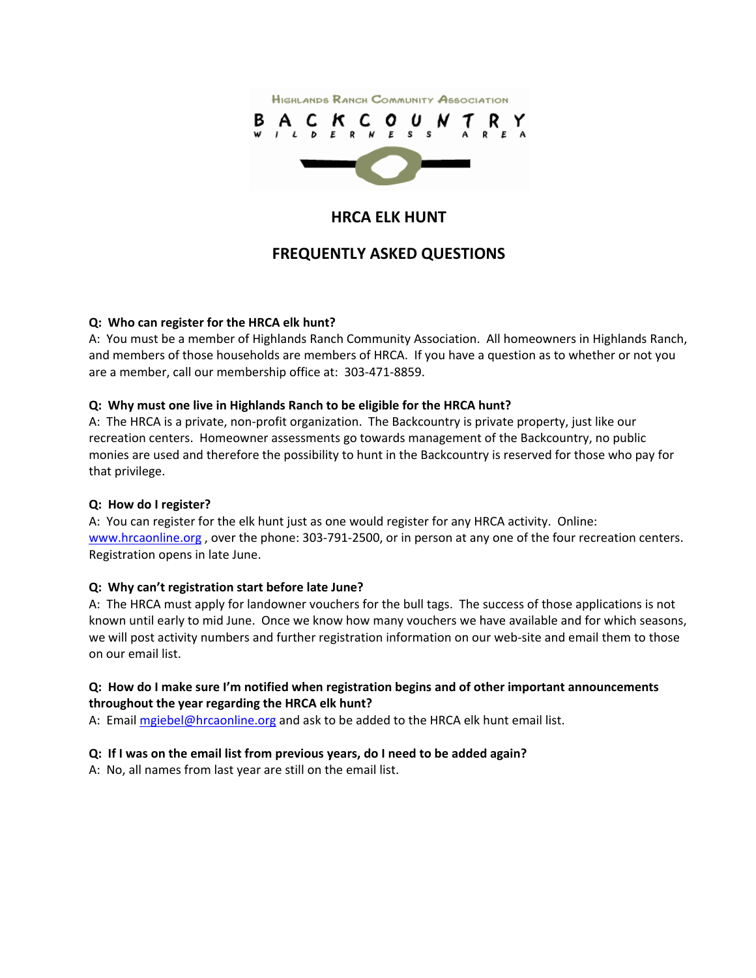

## **HRCA ELK HUNT**

# **FREQUENTLY ASKED QUESTIONS**

### **Q: Who can register for the HRCA elk hunt?**

A: You must be a member of Highlands Ranch Community Association. All homeowners in Highlands Ranch, and members of those households are members of HRCA. If you have a question as to whether or not you are a member, call our membership office at: 303‐471‐8859.

#### **Q: Why must one live in Highlands Ranch to be eligible for the HRCA hunt?**

A: The HRCA is a private, non‐profit organization. The Backcountry is private property, just like our recreation centers. Homeowner assessments go towards management of the Backcountry, no public monies are used and therefore the possibility to hunt in the Backcountry is reserved for those who pay for that privilege.

#### **Q: How do I register?**

A: You can register for the elk hunt just as one would register for any HRCA activity. Online: www.hrcaonline.org, over the phone: 303-791-2500, or in person at any one of the four recreation centers. Registration opens in late June.

#### **Q: Why can't registration start before late June?**

A: The HRCA must apply for landowner vouchers for the bull tags. The success of those applications is not known until early to mid June. Once we know how many vouchers we have available and for which seasons, we will post activity numbers and further registration information on our web-site and email them to those on our email list.

### **Q: How do I make sure I'm notified when registration begins and of other important announcements throughout the year regarding the HRCA elk hunt?**

A: Email mgiebel@hrcaonline.org and ask to be added to the HRCA elk hunt email list.

## **Q: If I was on the email list from previous years, do I need to be added again?**

A: No, all names from last year are still on the email list.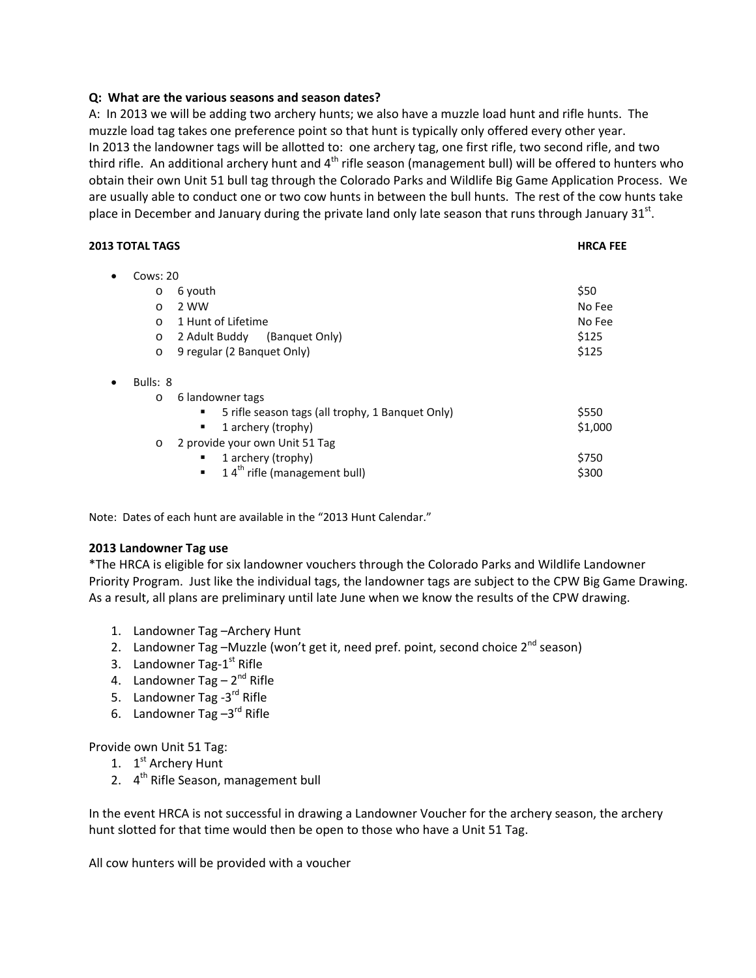#### **Q: What are the various seasons and season dates?**

A: In 2013 we will be adding two archery hunts; we also have a muzzle load hunt and rifle hunts. The muzzle load tag takes one preference point so that hunt is typically only offered every other year. In 2013 the landowner tags will be allotted to: one archery tag, one first rifle, two second rifle, and two third rifle. An additional archery hunt and  $4<sup>th</sup>$  rifle season (management bull) will be offered to hunters who obtain their own Unit 51 bull tag through the Colorado Parks and Wildlife Big Game Application Process. We are usually able to conduct one or two cow hunts in between the bull hunts. The rest of the cow hunts take place in December and January during the private land only late season that runs through January  $31^{st}$ .

| <b>2013 TOTAL TAGS</b> |                                                            | <b>HRCA FEE</b> |
|------------------------|------------------------------------------------------------|-----------------|
| Cows: $20$<br>٠        |                                                            |                 |
| $\circ$                | 6 youth                                                    | \$50            |
| $\circ$                | 2 WW                                                       | No Fee          |
| $\circ$                | 1 Hunt of Lifetime                                         | No Fee          |
| $\circ$                | 2 Adult Buddy<br>(Banquet Only)                            | \$125           |
| $\circ$                | 9 regular (2 Banquet Only)                                 | \$125           |
| Bulls: 8<br>$\bullet$  |                                                            |                 |
| $\circ$                | 6 landowner tags                                           |                 |
|                        | 5 rifle season tags (all trophy, 1 Banquet Only)<br>٠      | \$550           |
|                        | 1 archery (trophy)<br>٠                                    | \$1,000         |
| $\circ$                | 2 provide your own Unit 51 Tag                             |                 |
|                        | 1 archery (trophy)<br>ш                                    | \$750           |
|                        | 14 <sup>th</sup> rifle (management bull)<br>$\blacksquare$ | \$300           |
|                        |                                                            |                 |

Note: Dates of each hunt are available in the "2013 Hunt Calendar."

#### **2013 Landowner Tag use**

\*The HRCA is eligible for six landowner vouchers through the Colorado Parks and Wildlife Landowner Priority Program. Just like the individual tags, the landowner tags are subject to the CPW Big Game Drawing. As a result, all plans are preliminary until late June when we know the results of the CPW drawing.

- 1. Landowner Tag –Archery Hunt
- 2. Landowner Tag –Muzzle (won't get it, need pref. point, second choice  $2^{nd}$  season)
- 3. Landowner Tag-1<sup>st</sup> Rifle
- 4. Landowner Tag  $-2^{nd}$  Rifle
- 5. Landowner Tag -3<sup>rd</sup> Rifle
- 6. Landowner Tag  $-3^{rd}$  Rifle

Provide own Unit 51 Tag:

- 1. 1<sup>st</sup> Archery Hunt
- 2. 4<sup>th</sup> Rifle Season, management bull

In the event HRCA is not successful in drawing a Landowner Voucher for the archery season, the archery hunt slotted for that time would then be open to those who have a Unit 51 Tag.

All cow hunters will be provided with a voucher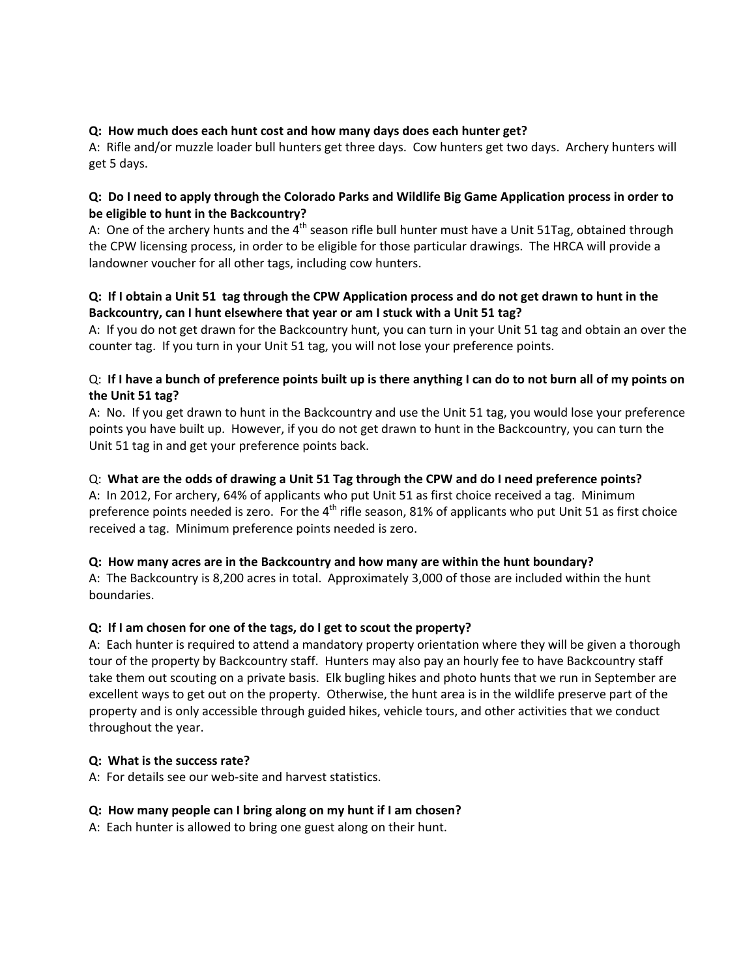### **Q: How much does each hunt cost and how many days does each hunter get?**

A: Rifle and/or muzzle loader bull hunters get three days. Cow hunters get two days. Archery hunters will get 5 days.

### Q: Do I need to apply through the Colorado Parks and Wildlife Big Game Application process in order to **be eligible to hunt in the Backcountry?**

A: One of the archery hunts and the  $4<sup>th</sup>$  season rifle bull hunter must have a Unit 51Tag, obtained through the CPW licensing process, in order to be eligible for those particular drawings. The HRCA will provide a landowner voucher for all other tags, including cow hunters.

## Q: If I obtain a Unit 51 tag through the CPW Application process and do not get drawn to hunt in the **Backcountry, can I hunt elsewhere that year or am I stuck with a Unit 51 tag?**

A: If you do not get drawn for the Backcountry hunt, you can turn in your Unit 51 tag and obtain an over the counter tag. If you turn in your Unit 51 tag, you will not lose your preference points.

### Q: If I have a bunch of preference points built up is there anything I can do to not burn all of my points on **the Unit 51 tag?**

A: No. If you get drawn to hunt in the Backcountry and use the Unit 51 tag, you would lose your preference points you have built up. However, if you do not get drawn to hunt in the Backcountry, you can turn the Unit 51 tag in and get your preference points back.

### Q: What are the odds of drawing a Unit 51 Tag through the CPW and do I need preference points?

A: In 2012, For archery, 64% of applicants who put Unit 51 as first choice received a tag. Minimum preference points needed is zero. For the  $4<sup>th</sup>$  rifle season, 81% of applicants who put Unit 51 as first choice received a tag. Minimum preference points needed is zero.

#### **Q: How many acres are in the Backcountry and how many are within the hunt boundary?**

A: The Backcountry is 8,200 acres in total. Approximately 3,000 of those are included within the hunt boundaries.

#### **Q: If I am chosen for one of the tags, do I get to scout the property?**

A: Each hunter is required to attend a mandatory property orientation where they will be given a thorough tour of the property by Backcountry staff. Hunters may also pay an hourly fee to have Backcountry staff take them out scouting on a private basis. Elk bugling hikes and photo hunts that we run in September are excellent ways to get out on the property. Otherwise, the hunt area is in the wildlife preserve part of the property and is only accessible through guided hikes, vehicle tours, and other activities that we conduct throughout the year.

#### **Q: What is the success rate?**

A: For details see our web‐site and harvest statistics.

#### **Q: How many people can I bring along on my hunt if I am chosen?**

A: Each hunter is allowed to bring one guest along on their hunt.